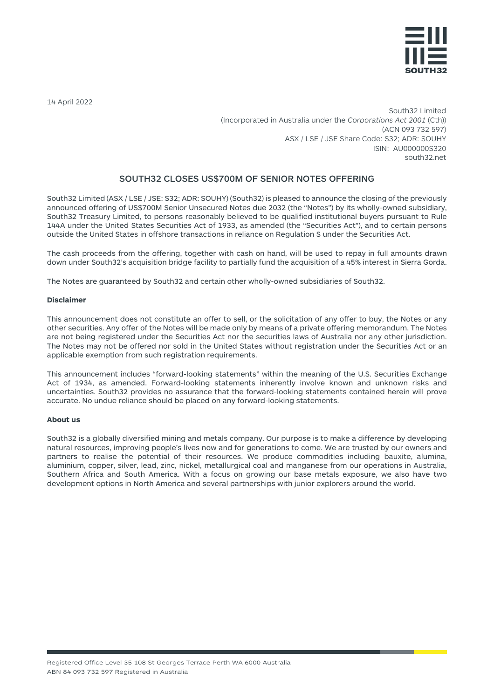

14 April 2022

South32 Limited (Incorporated in Australia under the *Corporations Act 2001* (Cth)) (ACN 093 732 597) ASX / LSE / JSE Share Code: S32; ADR: SOUHY ISIN: AU000000S320 south32.net

## SOUTH32 CLOSES US\$700M OF SENIOR NOTES OFFERING

South32 Limited (ASX / LSE / JSE: S32; ADR: SOUHY) (South32) is pleased to announce the closing of the previously announced offering of US\$700M Senior Unsecured Notes due 2032 (the "Notes") by its wholly-owned subsidiary, South32 Treasury Limited, to persons reasonably believed to be qualified institutional buyers pursuant to Rule 144A under the United States Securities Act of 1933, as amended (the "Securities Act"), and to certain persons outside the United States in offshore transactions in reliance on Regulation S under the Securities Act.

The cash proceeds from the offering, together with cash on hand, will be used to repay in full amounts drawn down under South32's acquisition bridge facility to partially fund the acquisition of a 45% interest in Sierra Gorda.

The Notes are guaranteed by South32 and certain other wholly-owned subsidiaries of South32.

## **Disclaimer**

This announcement does not constitute an offer to sell, or the solicitation of any offer to buy, the Notes or any other securities. Any offer of the Notes will be made only by means of a private offering memorandum. The Notes are not being registered under the Securities Act nor the securities laws of Australia nor any other jurisdiction. The Notes may not be offered nor sold in the United States without registration under the Securities Act or an applicable exemption from such registration requirements.

This announcement includes "forward-looking statements" within the meaning of the U.S. Securities Exchange Act of 1934, as amended. Forward-looking statements inherently involve known and unknown risks and uncertainties. South32 provides no assurance that the forward-looking statements contained herein will prove accurate. No undue reliance should be placed on any forward-looking statements.

## **About us**

South32 is a globally diversified mining and metals company. Our purpose is to make a difference by developing natural resources, improving people's lives now and for generations to come. We are trusted by our owners and partners to realise the potential of their resources. We produce commodities including bauxite, alumina, aluminium, copper, silver, lead, zinc, nickel, metallurgical coal and manganese from our operations in Australia, Southern Africa and South America. With a focus on growing our base metals exposure, we also have two development options in North America and several partnerships with junior explorers around the world.